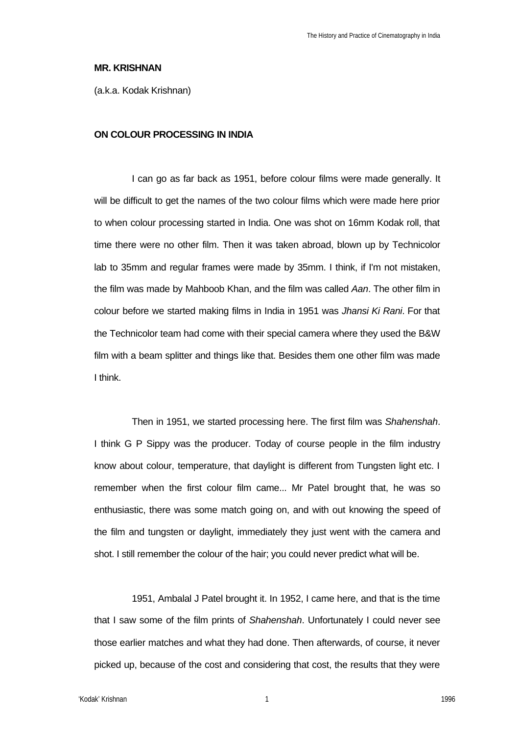### **MR. KRISHNAN**

(a.k.a. Kodak Krishnan)

# **ON COLOUR PROCESSING IN INDIA**

I can go as far back as 1951, before colour films were made generally. It will be difficult to get the names of the two colour films which were made here prior to when colour processing started in India. One was shot on 16mm Kodak roll, that time there were no other film. Then it was taken abroad, blown up by Technicolor lab to 35mm and regular frames were made by 35mm. I think, if I'm not mistaken, the film was made by Mahboob Khan, and the film was called *Aan*. The other film in colour before we started making films in India in 1951 was *Jhansi Ki Rani*. For that the Technicolor team had come with their special camera where they used the B&W film with a beam splitter and things like that. Besides them one other film was made I think.

Then in 1951, we started processing here. The first film was *Shahenshah*. I think G P Sippy was the producer. Today of course people in the film industry know about colour, temperature, that daylight is different from Tungsten light etc. I remember when the first colour film came... Mr Patel brought that, he was so enthusiastic, there was some match going on, and with out knowing the speed of the film and tungsten or daylight, immediately they just went with the camera and shot. I still remember the colour of the hair; you could never predict what will be.

1951, Ambalal J Patel brought it. In 1952, I came here, and that is the time that I saw some of the film prints of *Shahenshah*. Unfortunately I could never see those earlier matches and what they had done. Then afterwards, of course, it never picked up, because of the cost and considering that cost, the results that they were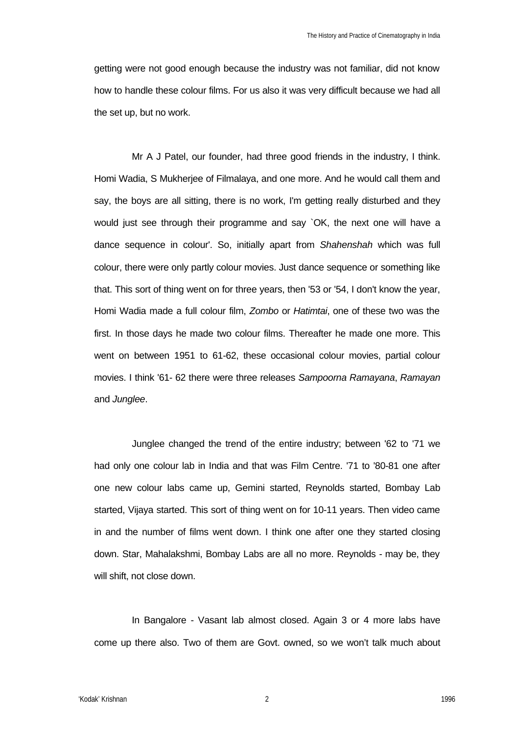getting were not good enough because the industry was not familiar, did not know how to handle these colour films. For us also it was very difficult because we had all the set up, but no work.

Mr A J Patel, our founder, had three good friends in the industry, I think. Homi Wadia, S Mukherjee of Filmalaya, and one more. And he would call them and say, the boys are all sitting, there is no work, I'm getting really disturbed and they would just see through their programme and say `OK, the next one will have a dance sequence in colour'. So, initially apart from *Shahenshah* which was full colour, there were only partly colour movies. Just dance sequence or something like that. This sort of thing went on for three years, then '53 or '54, I don't know the year, Homi Wadia made a full colour film, *Zombo* or *Hatimtai*, one of these two was the first. In those days he made two colour films. Thereafter he made one more. This went on between 1951 to 61-62, these occasional colour movies, partial colour movies. I think '61- 62 there were three releases *Sampoorna Ramayana*, *Ramayan* and *Junglee*.

Junglee changed the trend of the entire industry; between '62 to '71 we had only one colour lab in India and that was Film Centre. '71 to '80-81 one after one new colour labs came up, Gemini started, Reynolds started, Bombay Lab started, Vijaya started. This sort of thing went on for 10-11 years. Then video came in and the number of films went down. I think one after one they started closing down. Star, Mahalakshmi, Bombay Labs are all no more. Reynolds - may be, they will shift, not close down.

In Bangalore - Vasant lab almost closed. Again 3 or 4 more labs have come up there also. Two of them are Govt. owned, so we won't talk much about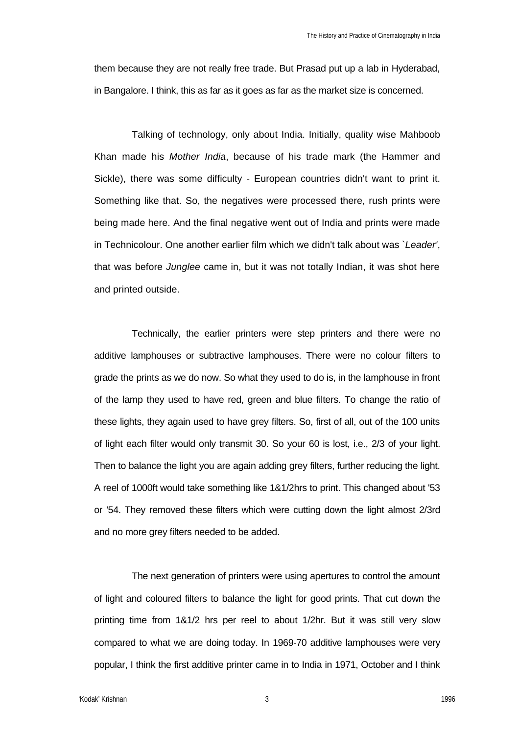them because they are not really free trade. But Prasad put up a lab in Hyderabad, in Bangalore. I think, this as far as it goes as far as the market size is concerned.

Talking of technology, only about India. Initially, quality wise Mahboob Khan made his *Mother India*, because of his trade mark (the Hammer and Sickle), there was some difficulty - European countries didn't want to print it. Something like that. So, the negatives were processed there, rush prints were being made here. And the final negative went out of India and prints were made in Technicolour. One another earlier film which we didn't talk about was `*Leader'*, that was before *Junglee* came in, but it was not totally Indian, it was shot here and printed outside.

Technically, the earlier printers were step printers and there were no additive lamphouses or subtractive lamphouses. There were no colour filters to grade the prints as we do now. So what they used to do is, in the lamphouse in front of the lamp they used to have red, green and blue filters. To change the ratio of these lights, they again used to have grey filters. So, first of all, out of the 100 units of light each filter would only transmit 30. So your 60 is lost, i.e., 2/3 of your light. Then to balance the light you are again adding grey filters, further reducing the light. A reel of 1000ft would take something like 1&1/2hrs to print. This changed about '53 or '54. They removed these filters which were cutting down the light almost 2/3rd and no more grey filters needed to be added.

The next generation of printers were using apertures to control the amount of light and coloured filters to balance the light for good prints. That cut down the printing time from 1&1/2 hrs per reel to about 1/2hr. But it was still very slow compared to what we are doing today. In 1969-70 additive lamphouses were very popular, I think the first additive printer came in to India in 1971, October and I think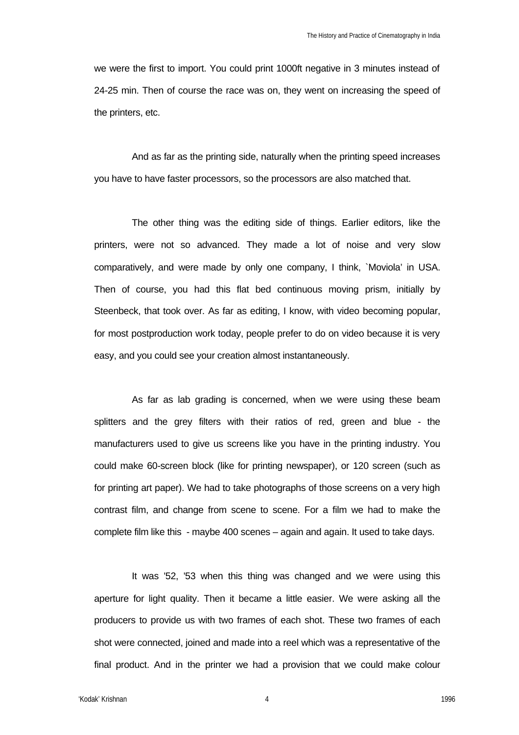we were the first to import. You could print 1000ft negative in 3 minutes instead of 24-25 min. Then of course the race was on, they went on increasing the speed of the printers, etc.

And as far as the printing side, naturally when the printing speed increases you have to have faster processors, so the processors are also matched that.

The other thing was the editing side of things. Earlier editors, like the printers, were not so advanced. They made a lot of noise and very slow comparatively, and were made by only one company, I think, `Moviola' in USA. Then of course, you had this flat bed continuous moving prism, initially by Steenbeck, that took over. As far as editing, I know, with video becoming popular, for most postproduction work today, people prefer to do on video because it is very easy, and you could see your creation almost instantaneously.

As far as lab grading is concerned, when we were using these beam splitters and the grey filters with their ratios of red, green and blue - the manufacturers used to give us screens like you have in the printing industry. You could make 60-screen block (like for printing newspaper), or 120 screen (such as for printing art paper). We had to take photographs of those screens on a very high contrast film, and change from scene to scene. For a film we had to make the complete film like this - maybe 400 scenes – again and again. It used to take days.

It was '52, '53 when this thing was changed and we were using this aperture for light quality. Then it became a little easier. We were asking all the producers to provide us with two frames of each shot. These two frames of each shot were connected, joined and made into a reel which was a representative of the final product. And in the printer we had a provision that we could make colour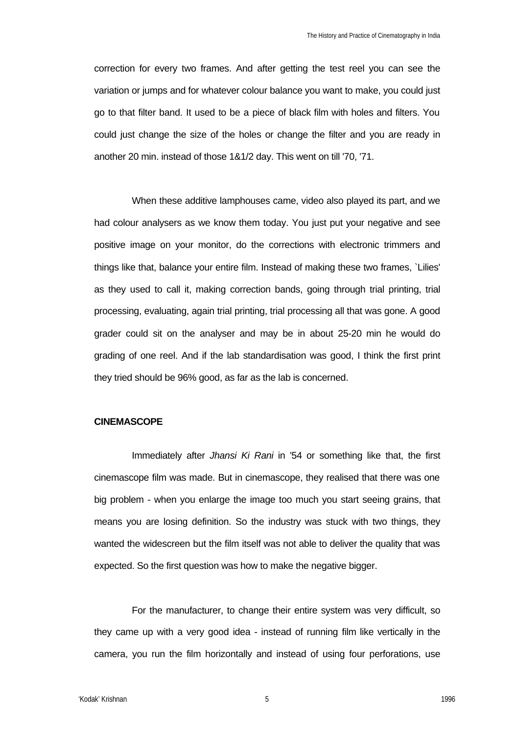correction for every two frames. And after getting the test reel you can see the variation or jumps and for whatever colour balance you want to make, you could just go to that filter band. It used to be a piece of black film with holes and filters. You could just change the size of the holes or change the filter and you are ready in another 20 min. instead of those 1&1/2 day. This went on till '70, '71.

When these additive lamphouses came, video also played its part, and we had colour analysers as we know them today. You just put your negative and see positive image on your monitor, do the corrections with electronic trimmers and things like that, balance your entire film. Instead of making these two frames, `Lilies' as they used to call it, making correction bands, going through trial printing, trial processing, evaluating, again trial printing, trial processing all that was gone. A good grader could sit on the analyser and may be in about 25-20 min he would do grading of one reel. And if the lab standardisation was good, I think the first print they tried should be 96% good, as far as the lab is concerned.

## **CINEMASCOPE**

Immediately after *Jhansi Ki Rani* in '54 or something like that, the first cinemascope film was made. But in cinemascope, they realised that there was one big problem - when you enlarge the image too much you start seeing grains, that means you are losing definition. So the industry was stuck with two things, they wanted the widescreen but the film itself was not able to deliver the quality that was expected. So the first question was how to make the negative bigger.

For the manufacturer, to change their entire system was very difficult, so they came up with a very good idea - instead of running film like vertically in the camera, you run the film horizontally and instead of using four perforations, use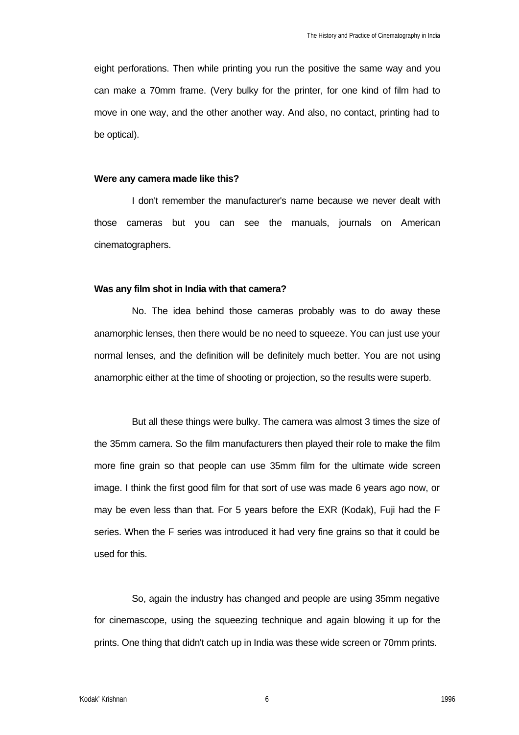eight perforations. Then while printing you run the positive the same way and you can make a 70mm frame. (Very bulky for the printer, for one kind of film had to move in one way, and the other another way. And also, no contact, printing had to be optical).

### **Were any camera made like this?**

I don't remember the manufacturer's name because we never dealt with those cameras but you can see the manuals, journals on American cinematographers.

### **Was any film shot in India with that camera?**

No. The idea behind those cameras probably was to do away these anamorphic lenses, then there would be no need to squeeze. You can just use your normal lenses, and the definition will be definitely much better. You are not using anamorphic either at the time of shooting or projection, so the results were superb.

But all these things were bulky. The camera was almost 3 times the size of the 35mm camera. So the film manufacturers then played their role to make the film more fine grain so that people can use 35mm film for the ultimate wide screen image. I think the first good film for that sort of use was made 6 years ago now, or may be even less than that. For 5 years before the EXR (Kodak), Fuji had the F series. When the F series was introduced it had very fine grains so that it could be used for this.

So, again the industry has changed and people are using 35mm negative for cinemascope, using the squeezing technique and again blowing it up for the prints. One thing that didn't catch up in India was these wide screen or 70mm prints.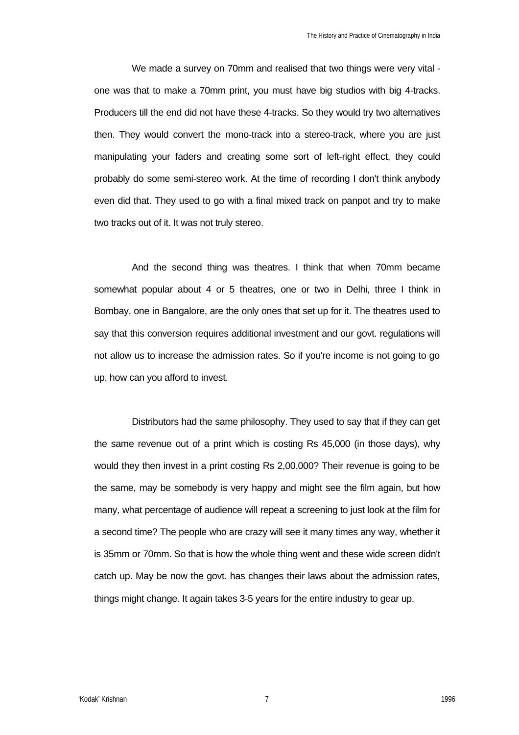We made a survey on 70mm and realised that two things were very vital one was that to make a 70mm print, you must have big studios with big 4-tracks. Producers till the end did not have these 4-tracks. So they would try two alternatives then. They would convert the mono-track into a stereo-track, where you are just manipulating your faders and creating some sort of left-right effect, they could probably do some semi-stereo work. At the time of recording I don't think anybody even did that. They used to go with a final mixed track on panpot and try to make two tracks out of it. It was not truly stereo.

And the second thing was theatres. I think that when 70mm became somewhat popular about 4 or 5 theatres, one or two in Delhi, three I think in Bombay, one in Bangalore, are the only ones that set up for it. The theatres used to say that this conversion requires additional investment and our govt. regulations will not allow us to increase the admission rates. So if you're income is not going to go up, how can you afford to invest.

Distributors had the same philosophy. They used to say that if they can get the same revenue out of a print which is costing Rs 45,000 (in those days), why would they then invest in a print costing Rs 2,00,000? Their revenue is going to be the same, may be somebody is very happy and might see the film again, but how many, what percentage of audience will repeat a screening to just look at the film for a second time? The people who are crazy will see it many times any way, whether it is 35mm or 70mm. So that is how the whole thing went and these wide screen didn't catch up. May be now the govt. has changes their laws about the admission rates, things might change. It again takes 3-5 years for the entire industry to gear up.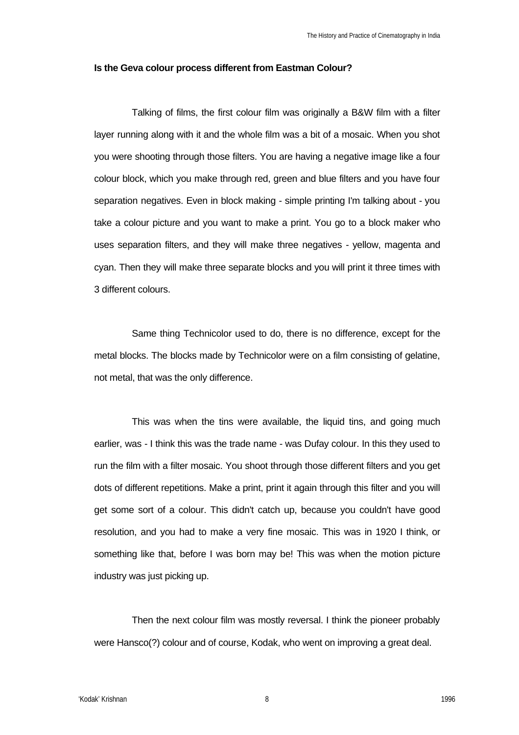## **Is the Geva colour process different from Eastman Colour?**

Talking of films, the first colour film was originally a B&W film with a filter layer running along with it and the whole film was a bit of a mosaic. When you shot you were shooting through those filters. You are having a negative image like a four colour block, which you make through red, green and blue filters and you have four separation negatives. Even in block making - simple printing I'm talking about - you take a colour picture and you want to make a print. You go to a block maker who uses separation filters, and they will make three negatives - yellow, magenta and cyan. Then they will make three separate blocks and you will print it three times with 3 different colours.

Same thing Technicolor used to do, there is no difference, except for the metal blocks. The blocks made by Technicolor were on a film consisting of gelatine, not metal, that was the only difference.

This was when the tins were available, the liquid tins, and going much earlier, was - I think this was the trade name - was Dufay colour. In this they used to run the film with a filter mosaic. You shoot through those different filters and you get dots of different repetitions. Make a print, print it again through this filter and you will get some sort of a colour. This didn't catch up, because you couldn't have good resolution, and you had to make a very fine mosaic. This was in 1920 I think, or something like that, before I was born may be! This was when the motion picture industry was just picking up.

Then the next colour film was mostly reversal. I think the pioneer probably were Hansco(?) colour and of course, Kodak, who went on improving a great deal.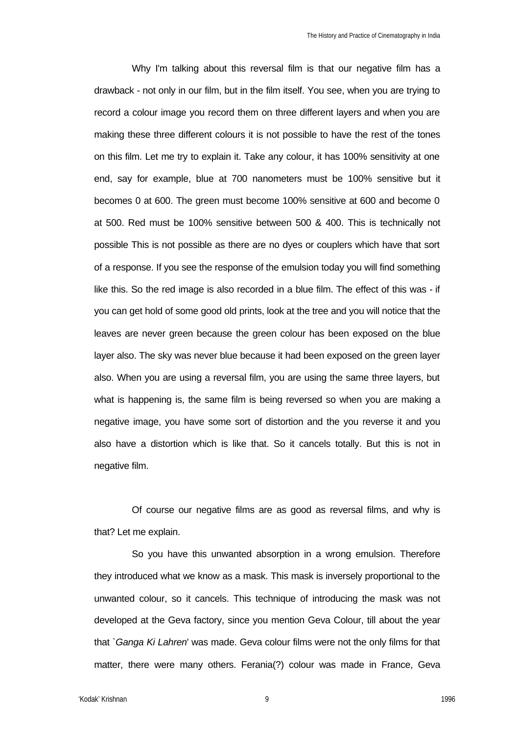Why I'm talking about this reversal film is that our negative film has a drawback - not only in our film, but in the film itself. You see, when you are trying to record a colour image you record them on three different layers and when you are making these three different colours it is not possible to have the rest of the tones on this film. Let me try to explain it. Take any colour, it has 100% sensitivity at one end, say for example, blue at 700 nanometers must be 100% sensitive but it becomes 0 at 600. The green must become 100% sensitive at 600 and become 0 at 500. Red must be 100% sensitive between 500 & 400. This is technically not possible This is not possible as there are no dyes or couplers which have that sort of a response. If you see the response of the emulsion today you will find something like this. So the red image is also recorded in a blue film. The effect of this was - if you can get hold of some good old prints, look at the tree and you will notice that the leaves are never green because the green colour has been exposed on the blue layer also. The sky was never blue because it had been exposed on the green layer also. When you are using a reversal film, you are using the same three layers, but what is happening is, the same film is being reversed so when you are making a negative image, you have some sort of distortion and the you reverse it and you also have a distortion which is like that. So it cancels totally. But this is not in negative film.

Of course our negative films are as good as reversal films, and why is that? Let me explain.

So you have this unwanted absorption in a wrong emulsion. Therefore they introduced what we know as a mask. This mask is inversely proportional to the unwanted colour, so it cancels. This technique of introducing the mask was not developed at the Geva factory, since you mention Geva Colour, till about the year that `*Ganga Ki Lahren*' was made. Geva colour films were not the only films for that matter, there were many others. Ferania(?) colour was made in France, Geva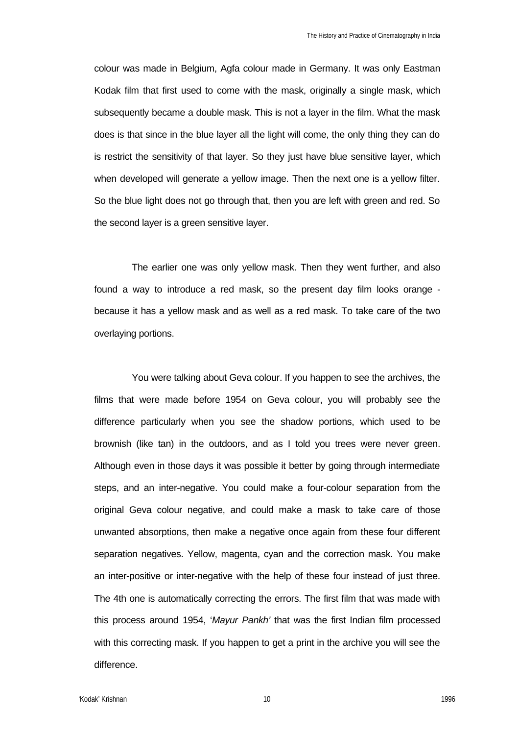colour was made in Belgium, Agfa colour made in Germany. It was only Eastman Kodak film that first used to come with the mask, originally a single mask, which subsequently became a double mask. This is not a layer in the film. What the mask does is that since in the blue layer all the light will come, the only thing they can do is restrict the sensitivity of that layer. So they just have blue sensitive layer, which when developed will generate a yellow image. Then the next one is a yellow filter. So the blue light does not go through that, then you are left with green and red. So the second layer is a green sensitive layer.

The earlier one was only yellow mask. Then they went further, and also found a way to introduce a red mask, so the present day film looks orange because it has a yellow mask and as well as a red mask. To take care of the two overlaying portions.

You were talking about Geva colour. If you happen to see the archives, the films that were made before 1954 on Geva colour, you will probably see the difference particularly when you see the shadow portions, which used to be brownish (like tan) in the outdoors, and as I told you trees were never green. Although even in those days it was possible it better by going through intermediate steps, and an inter-negative. You could make a four-colour separation from the original Geva colour negative, and could make a mask to take care of those unwanted absorptions, then make a negative once again from these four different separation negatives. Yellow, magenta, cyan and the correction mask. You make an inter-positive or inter-negative with the help of these four instead of just three. The 4th one is automatically correcting the errors. The first film that was made with this process around 1954, '*Mayur Pankh'* that was the first Indian film processed with this correcting mask. If you happen to get a print in the archive you will see the difference.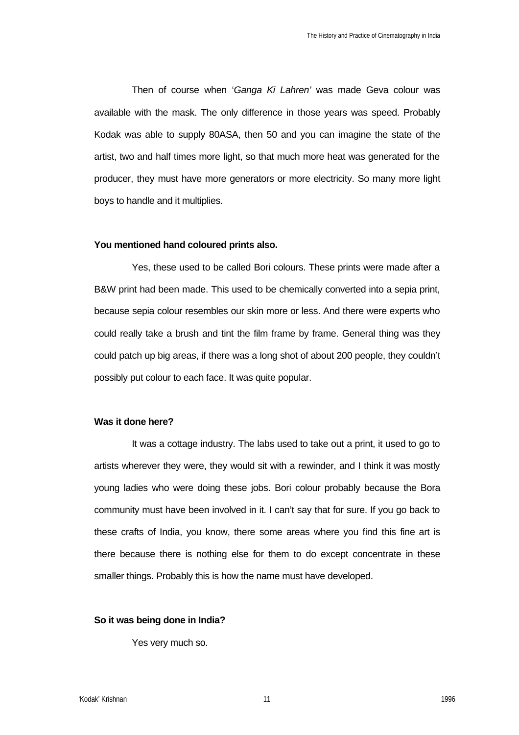Then of course when '*Ganga Ki Lahren'* was made Geva colour was available with the mask. The only difference in those years was speed. Probably Kodak was able to supply 80ASA, then 50 and you can imagine the state of the artist, two and half times more light, so that much more heat was generated for the producer, they must have more generators or more electricity. So many more light boys to handle and it multiplies.

## **You mentioned hand coloured prints also.**

Yes, these used to be called Bori colours. These prints were made after a B&W print had been made. This used to be chemically converted into a sepia print, because sepia colour resembles our skin more or less. And there were experts who could really take a brush and tint the film frame by frame. General thing was they could patch up big areas, if there was a long shot of about 200 people, they couldn't possibly put colour to each face. It was quite popular.

# **Was it done here?**

It was a cottage industry. The labs used to take out a print, it used to go to artists wherever they were, they would sit with a rewinder, and I think it was mostly young ladies who were doing these jobs. Bori colour probably because the Bora community must have been involved in it. I can't say that for sure. If you go back to these crafts of India, you know, there some areas where you find this fine art is there because there is nothing else for them to do except concentrate in these smaller things. Probably this is how the name must have developed.

# **So it was being done in India?**

Yes very much so.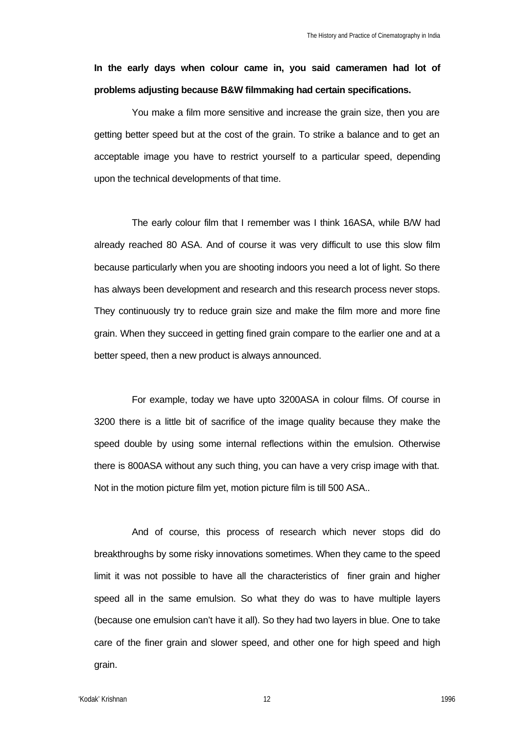# **In the early days when colour came in, you said cameramen had lot of problems adjusting because B&W filmmaking had certain specifications.**

You make a film more sensitive and increase the grain size, then you are getting better speed but at the cost of the grain. To strike a balance and to get an acceptable image you have to restrict yourself to a particular speed, depending upon the technical developments of that time.

The early colour film that I remember was I think 16ASA, while B/W had already reached 80 ASA. And of course it was very difficult to use this slow film because particularly when you are shooting indoors you need a lot of light. So there has always been development and research and this research process never stops. They continuously try to reduce grain size and make the film more and more fine grain. When they succeed in getting fined grain compare to the earlier one and at a better speed, then a new product is always announced.

For example, today we have upto 3200ASA in colour films. Of course in 3200 there is a little bit of sacrifice of the image quality because they make the speed double by using some internal reflections within the emulsion. Otherwise there is 800ASA without any such thing, you can have a very crisp image with that. Not in the motion picture film yet, motion picture film is till 500 ASA..

And of course, this process of research which never stops did do breakthroughs by some risky innovations sometimes. When they came to the speed limit it was not possible to have all the characteristics of finer grain and higher speed all in the same emulsion. So what they do was to have multiple layers (because one emulsion can't have it all). So they had two layers in blue. One to take care of the finer grain and slower speed, and other one for high speed and high grain.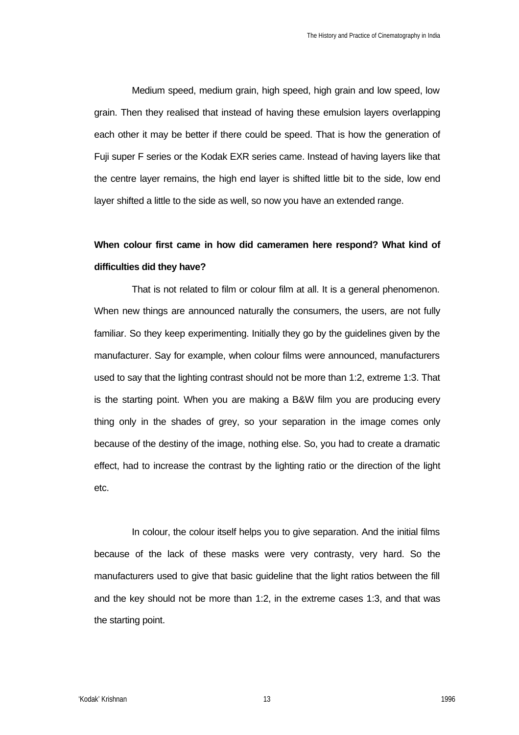Medium speed, medium grain, high speed, high grain and low speed, low grain. Then they realised that instead of having these emulsion layers overlapping each other it may be better if there could be speed. That is how the generation of Fuji super F series or the Kodak EXR series came. Instead of having layers like that the centre layer remains, the high end layer is shifted little bit to the side, low end layer shifted a little to the side as well, so now you have an extended range.

# **When colour first came in how did cameramen here respond? What kind of difficulties did they have?**

That is not related to film or colour film at all. It is a general phenomenon. When new things are announced naturally the consumers, the users, are not fully familiar. So they keep experimenting. Initially they go by the guidelines given by the manufacturer. Say for example, when colour films were announced, manufacturers used to say that the lighting contrast should not be more than 1:2, extreme 1:3. That is the starting point. When you are making a B&W film you are producing every thing only in the shades of grey, so your separation in the image comes only because of the destiny of the image, nothing else. So, you had to create a dramatic effect, had to increase the contrast by the lighting ratio or the direction of the light etc.

In colour, the colour itself helps you to give separation. And the initial films because of the lack of these masks were very contrasty, very hard. So the manufacturers used to give that basic guideline that the light ratios between the fill and the key should not be more than 1:2, in the extreme cases 1:3, and that was the starting point.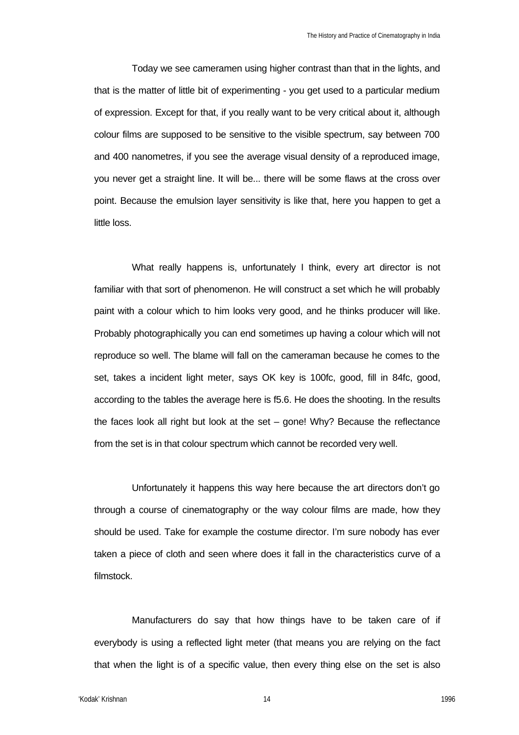Today we see cameramen using higher contrast than that in the lights, and that is the matter of little bit of experimenting - you get used to a particular medium of expression. Except for that, if you really want to be very critical about it, although colour films are supposed to be sensitive to the visible spectrum, say between 700 and 400 nanometres, if you see the average visual density of a reproduced image, you never get a straight line. It will be... there will be some flaws at the cross over point. Because the emulsion layer sensitivity is like that, here you happen to get a little loss.

What really happens is, unfortunately I think, every art director is not familiar with that sort of phenomenon. He will construct a set which he will probably paint with a colour which to him looks very good, and he thinks producer will like. Probably photographically you can end sometimes up having a colour which will not reproduce so well. The blame will fall on the cameraman because he comes to the set, takes a incident light meter, says OK key is 100fc, good, fill in 84fc, good, according to the tables the average here is f5.6. He does the shooting. In the results the faces look all right but look at the set – gone! Why? Because the reflectance from the set is in that colour spectrum which cannot be recorded very well.

Unfortunately it happens this way here because the art directors don't go through a course of cinematography or the way colour films are made, how they should be used. Take for example the costume director. I'm sure nobody has ever taken a piece of cloth and seen where does it fall in the characteristics curve of a filmstock.

Manufacturers do say that how things have to be taken care of if everybody is using a reflected light meter (that means you are relying on the fact that when the light is of a specific value, then every thing else on the set is also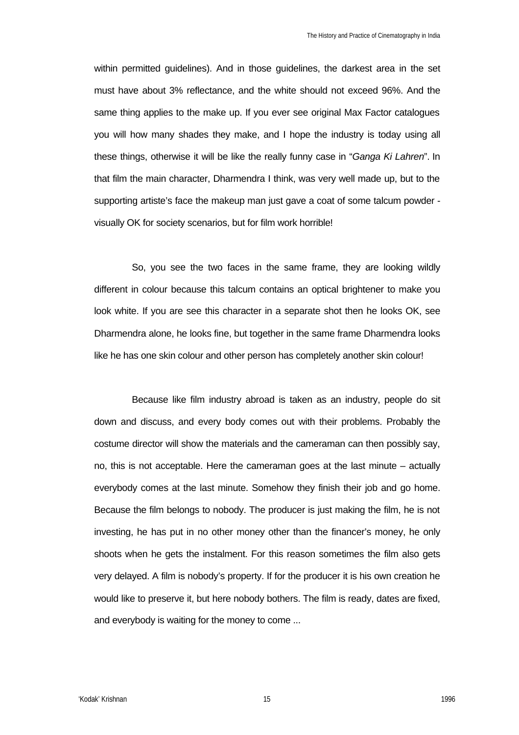within permitted guidelines). And in those guidelines, the darkest area in the set must have about 3% reflectance, and the white should not exceed 96%. And the same thing applies to the make up. If you ever see original Max Factor catalogues you will how many shades they make, and I hope the industry is today using all these things, otherwise it will be like the really funny case in "*Ganga Ki Lahren*". In that film the main character, Dharmendra I think, was very well made up, but to the supporting artiste's face the makeup man just gave a coat of some talcum powder visually OK for society scenarios, but for film work horrible!

So, you see the two faces in the same frame, they are looking wildly different in colour because this talcum contains an optical brightener to make you look white. If you are see this character in a separate shot then he looks OK, see Dharmendra alone, he looks fine, but together in the same frame Dharmendra looks like he has one skin colour and other person has completely another skin colour!

Because like film industry abroad is taken as an industry, people do sit down and discuss, and every body comes out with their problems. Probably the costume director will show the materials and the cameraman can then possibly say, no, this is not acceptable. Here the cameraman goes at the last minute – actually everybody comes at the last minute. Somehow they finish their job and go home. Because the film belongs to nobody. The producer is just making the film, he is not investing, he has put in no other money other than the financer's money, he only shoots when he gets the instalment. For this reason sometimes the film also gets very delayed. A film is nobody's property. If for the producer it is his own creation he would like to preserve it, but here nobody bothers. The film is ready, dates are fixed, and everybody is waiting for the money to come ...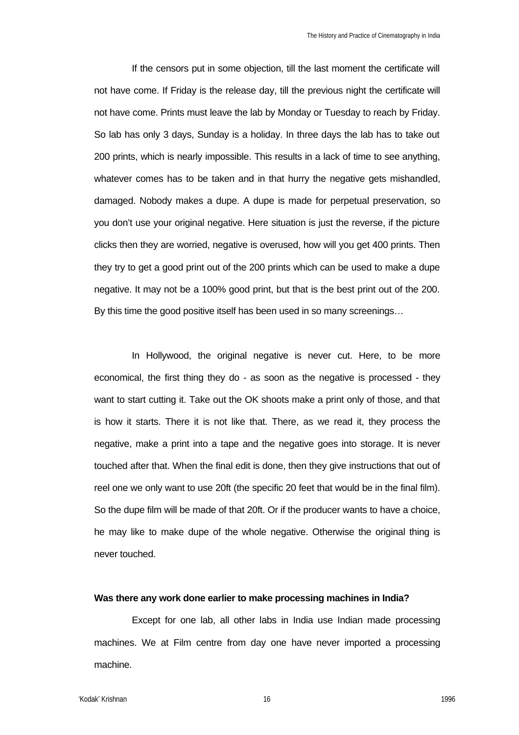If the censors put in some objection, till the last moment the certificate will not have come. If Friday is the release day, till the previous night the certificate will not have come. Prints must leave the lab by Monday or Tuesday to reach by Friday. So lab has only 3 days, Sunday is a holiday. In three days the lab has to take out 200 prints, which is nearly impossible. This results in a lack of time to see anything, whatever comes has to be taken and in that hurry the negative gets mishandled, damaged. Nobody makes a dupe. A dupe is made for perpetual preservation, so you don't use your original negative. Here situation is just the reverse, if the picture clicks then they are worried, negative is overused, how will you get 400 prints. Then they try to get a good print out of the 200 prints which can be used to make a dupe negative. It may not be a 100% good print, but that is the best print out of the 200. By this time the good positive itself has been used in so many screenings…

In Hollywood, the original negative is never cut. Here, to be more economical, the first thing they do - as soon as the negative is processed - they want to start cutting it. Take out the OK shoots make a print only of those, and that is how it starts. There it is not like that. There, as we read it, they process the negative, make a print into a tape and the negative goes into storage. It is never touched after that. When the final edit is done, then they give instructions that out of reel one we only want to use 20ft (the specific 20 feet that would be in the final film). So the dupe film will be made of that 20ft. Or if the producer wants to have a choice, he may like to make dupe of the whole negative. Otherwise the original thing is never touched.

# **Was there any work done earlier to make processing machines in India?**

Except for one lab, all other labs in India use Indian made processing machines. We at Film centre from day one have never imported a processing machine.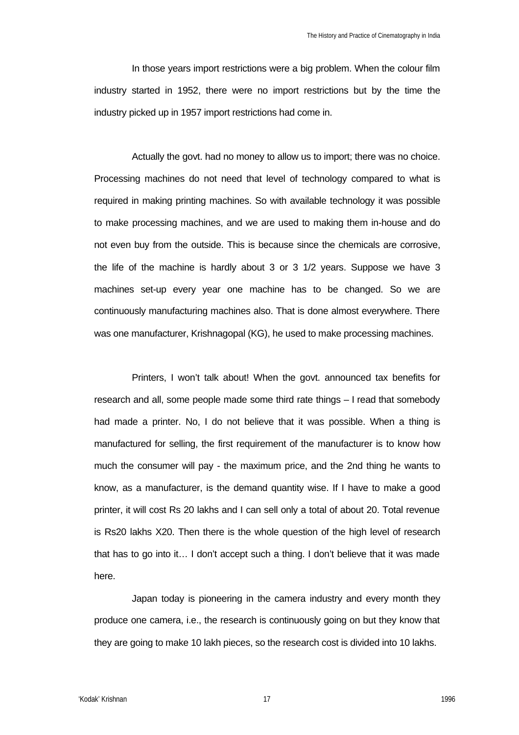In those years import restrictions were a big problem. When the colour film industry started in 1952, there were no import restrictions but by the time the industry picked up in 1957 import restrictions had come in.

Actually the govt. had no money to allow us to import; there was no choice. Processing machines do not need that level of technology compared to what is required in making printing machines. So with available technology it was possible to make processing machines, and we are used to making them in-house and do not even buy from the outside. This is because since the chemicals are corrosive, the life of the machine is hardly about 3 or 3 1/2 years. Suppose we have 3 machines set-up every year one machine has to be changed. So we are continuously manufacturing machines also. That is done almost everywhere. There was one manufacturer, Krishnagopal (KG), he used to make processing machines.

Printers, I won't talk about! When the govt. announced tax benefits for research and all, some people made some third rate things – I read that somebody had made a printer. No, I do not believe that it was possible. When a thing is manufactured for selling, the first requirement of the manufacturer is to know how much the consumer will pay - the maximum price, and the 2nd thing he wants to know, as a manufacturer, is the demand quantity wise. If I have to make a good printer, it will cost Rs 20 lakhs and I can sell only a total of about 20. Total revenue is Rs20 lakhs X20. Then there is the whole question of the high level of research that has to go into it… I don't accept such a thing. I don't believe that it was made here.

Japan today is pioneering in the camera industry and every month they produce one camera, i.e., the research is continuously going on but they know that they are going to make 10 lakh pieces, so the research cost is divided into 10 lakhs.